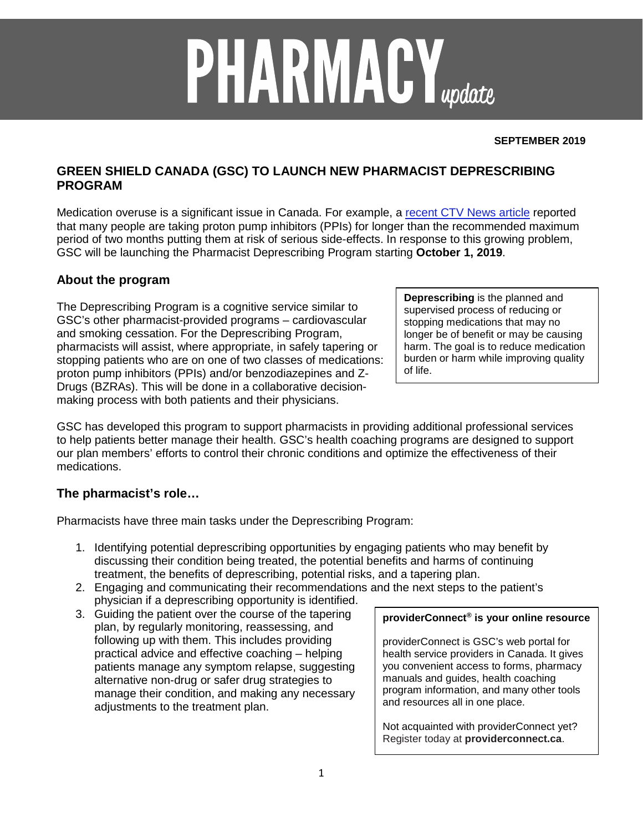# **PHARMACY**<sub>update</sub>

#### **SEPTEMBER 2019**

# **GREEN SHIELD CANADA (GSC) TO LAUNCH NEW PHARMACIST DEPRESCRIBING PROGRAM**

Medication overuse is a significant issue in Canada. For example, a [recent CTV News article](https://www.ctvnews.ca/health/millions-of-canadians-using-acid-reflux-drugs-for-too-long-risking-health-side-effects-1.4409011?mkt_tok=eyJpIjoiWW1aalltVmpZek15Wm1FMiIsInQiOiJSOTd0YlRQXC9neDJ4VStRTjl1alYzVjZ3WHVONzJZXC95SEhEd1lTK3ZHb3l5RVZ1Q0RZUGdLTFAyTFwvc25pM2pJTFQwMWFqR0ZmN1BLd2YyMTMrR1BWU2F3eGRLSVNkdVRrZXlWSUk3WnZMVGtHRVhZaEo1R1wvaEphV3VQb2pXNUYifQ%3D%3D) reported that many people are taking proton pump inhibitors (PPIs) for longer than the recommended maximum period of two months putting them at risk of serious side-effects. In response to this growing problem, GSC will be launching the Pharmacist Deprescribing Program starting **October 1, 2019**.

## **About the program**

The Deprescribing Program is a cognitive service similar to GSC's other pharmacist-provided programs – cardiovascular and smoking cessation. For the Deprescribing Program, pharmacists will assist, where appropriate, in safely tapering or stopping patients who are on one of two classes of medications: proton pump inhibitors (PPIs) and/or benzodiazepines and Z-Drugs (BZRAs). This will be done in a collaborative decisionmaking process with both patients and their physicians.

GSC has developed this program to support pharmacists in providing additional professional services to help patients better manage their health. GSC's health coaching programs are designed to support our plan members' efforts to control their chronic conditions and optimize the effectiveness of their medications.

# **The pharmacist's role…**

Pharmacists have three main tasks under the Deprescribing Program:

- 1. Identifying potential deprescribing opportunities by engaging patients who may benefit by discussing their condition being treated, the potential benefits and harms of continuing treatment, the benefits of deprescribing, potential risks, and a tapering plan.
- 2. Engaging and communicating their recommendations and the next steps to the patient's physician if a deprescribing opportunity is identified.
- 3. Guiding the patient over the course of the tapering plan, by regularly monitoring, reassessing, and following up with them. This includes providing practical advice and effective coaching – helping patients manage any symptom relapse, suggesting alternative non-drug or safer drug strategies to manage their condition, and making any necessary adjustments to the treatment plan.

#### **providerConnect® is your online resource**

providerConnect is GSC's web portal for health service providers in Canada. It gives you convenient access to forms, pharmacy manuals and guides, health coaching program information, and many other tools and resources all in one place.

Not acquainted with providerConnect yet? Register today at **providerconnect.ca**.

**Deprescribing** is the planned and supervised process of reducing or stopping medications that may no longer be of benefit or may be causing harm. The goal is to reduce medication burden or harm while improving quality of life.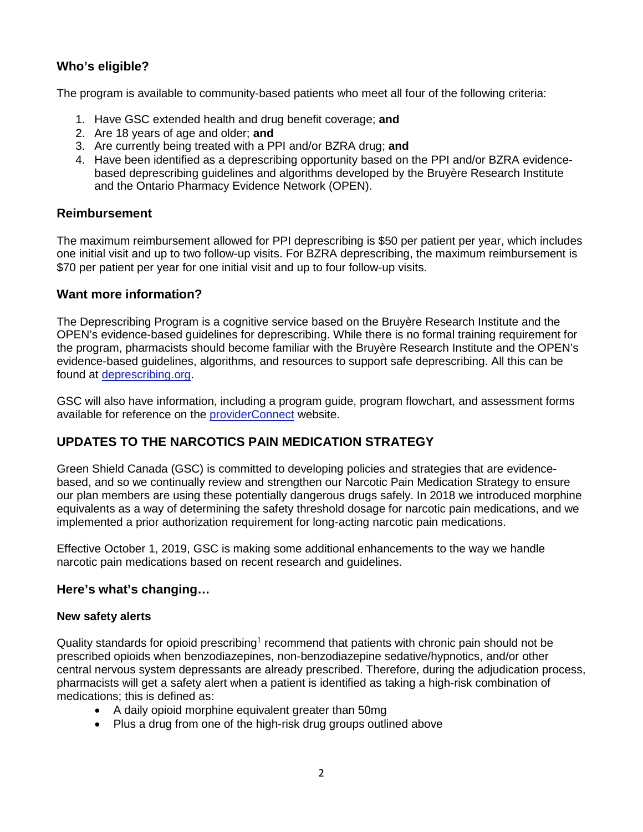# **Who's eligible?**

The program is available to community-based patients who meet all four of the following criteria:

- 1. Have GSC extended health and drug benefit coverage; **and**
- 2. Are 18 years of age and older; **and**
- 3. Are currently being treated with a PPI and/or BZRA drug; **and**
- 4. Have been identified as a deprescribing opportunity based on the PPI and/or BZRA evidencebased deprescribing guidelines and algorithms developed by the Bruyère Research Institute and the Ontario Pharmacy Evidence Network (OPEN).

## **Reimbursement**

The maximum reimbursement allowed for PPI deprescribing is \$50 per patient per year, which includes one initial visit and up to two follow-up visits. For BZRA deprescribing, the maximum reimbursement is \$70 per patient per year for one initial visit and up to four follow-up visits.

## **Want more information?**

The Deprescribing Program is a cognitive service based on the Bruyère Research Institute and the OPEN's evidence-based guidelines for deprescribing. While there is no formal training requirement for the program, pharmacists should become familiar with the Bruyère Research Institute and the OPEN's evidence-based guidelines, algorithms, and resources to support safe deprescribing. All this can be found at [deprescribing.org.](https://deprescribing.org/)

GSC will also have information, including a program guide, program flowchart, and assessment forms available for reference on the [providerConnect](https://www.providerconnect.ca/) website.

# **UPDATES TO THE NARCOTICS PAIN MEDICATION STRATEGY**

Green Shield Canada (GSC) is committed to developing policies and strategies that are evidencebased, and so we continually review and strengthen our Narcotic Pain Medication Strategy to ensure our plan members are using these potentially dangerous drugs safely. In 2018 we introduced morphine equivalents as a way of determining the safety threshold dosage for narcotic pain medications, and we implemented a prior authorization requirement for long-acting narcotic pain medications.

Effective October 1, 2019, GSC is making some additional enhancements to the way we handle narcotic pain medications based on recent research and guidelines.

## **Here's what's changing…**

#### **New safety alerts**

Quality standards for opioid prescribing1 recommend that patients with chronic pain should not be prescribed opioids when benzodiazepines, non-benzodiazepine sedative/hypnotics, and/or other central nervous system depressants are already prescribed. Therefore, during the adjudication process, pharmacists will get a safety alert when a patient is identified as taking a high-risk combination of medications; this is defined as:

- A daily opioid morphine equivalent greater than 50mg
- Plus a drug from one of the high-risk drug groups outlined above